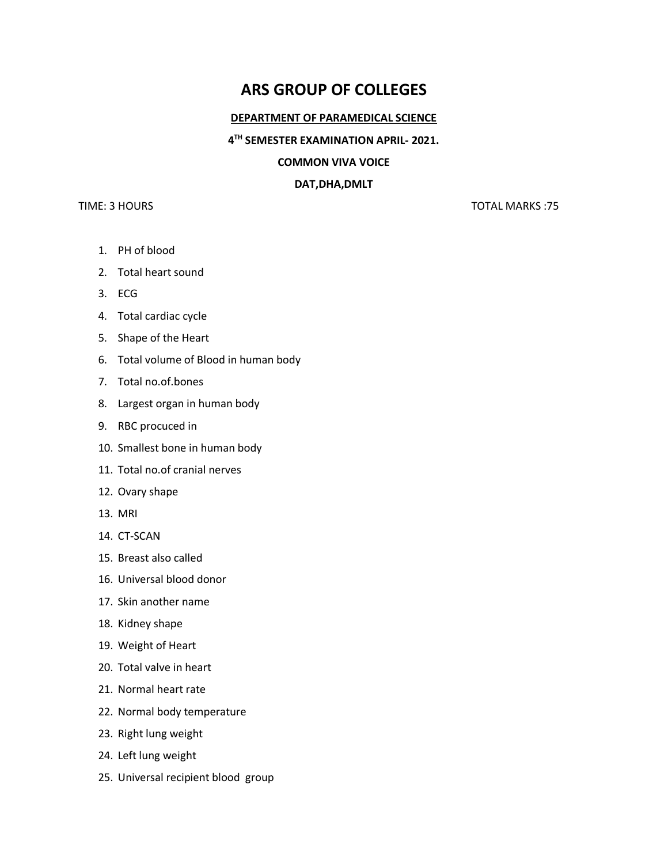# **ARS GROUP OF COLLEGES**

#### **DEPARTMENT OF PARAMEDICAL SCIENCE**

### **4 TH SEMESTER EXAMINATION APRIL- 2021.**

## **COMMON VIVA VOICE**

#### **DAT,DHA,DMLT**

# TIME: 3 HOURS TOTAL MARKS :75

- 1. PH of blood
- 2. Total heart sound
- 3. ECG
- 4. Total cardiac cycle
- 5. Shape of the Heart
- 6. Total volume of Blood in human body
- 7. Total no.of.bones
- 8. Largest organ in human body
- 9. RBC procuced in
- 10. Smallest bone in human body
- 11. Total no.of cranial nerves
- 12. Ovary shape
- 13. MRI
- 14. CT-SCAN
- 15. Breast also called
- 16. Universal blood donor
- 17. Skin another name
- 18. Kidney shape
- 19. Weight of Heart
- 20. Total valve in heart
- 21. Normal heart rate
- 22. Normal body temperature
- 23. Right lung weight
- 24. Left lung weight
- 25. Universal recipient blood group